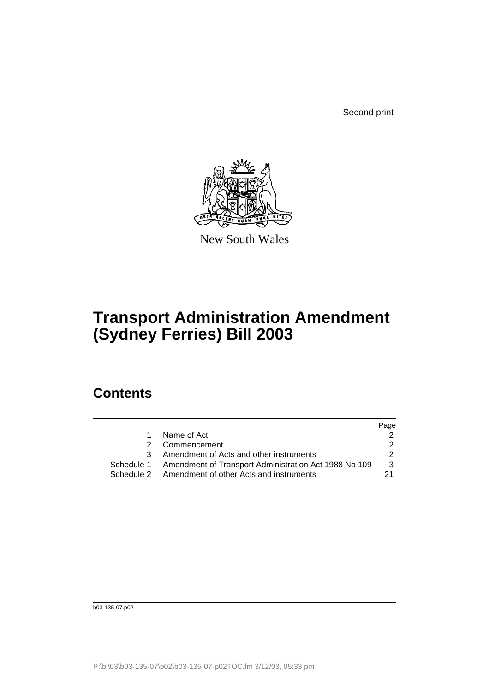Second print



New South Wales

# **Transport Administration Amendment (Sydney Ferries) Bill 2003**

## **Contents**

|                                                                  | Page |
|------------------------------------------------------------------|------|
| Name of Act                                                      |      |
| 2 Commencement                                                   | 2    |
| Amendment of Acts and other instruments                          | 2    |
| Schedule 1 Amendment of Transport Administration Act 1988 No 109 | 3    |
| Schedule 2 Amendment of other Acts and instruments               |      |
|                                                                  |      |

b03-135-07.p02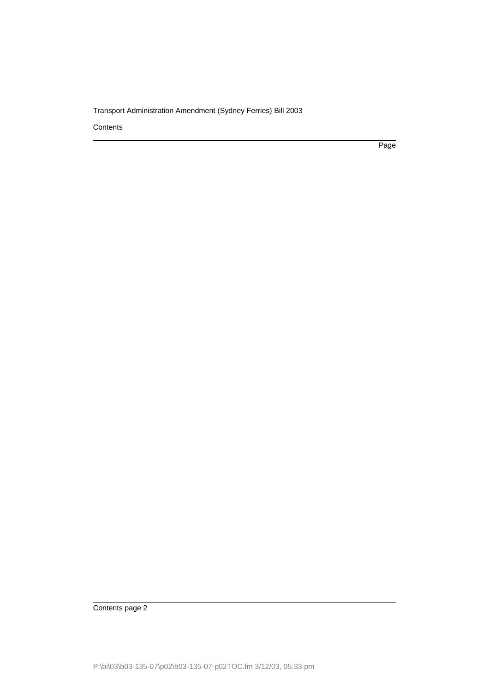**Contents** 

Page

Contents page 2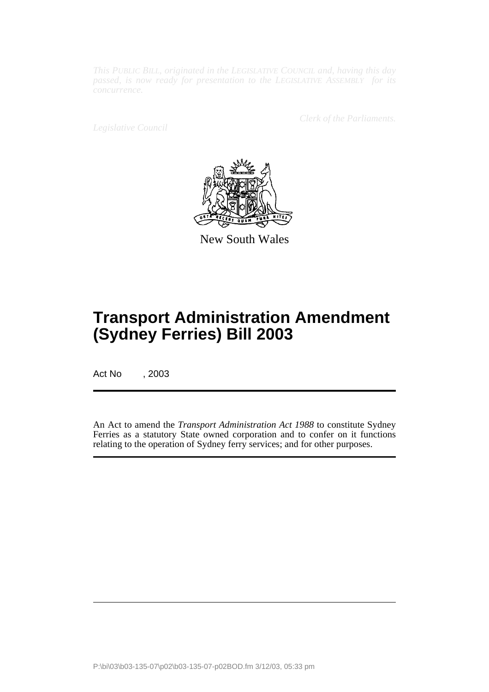*This PUBLIC BILL, originated in the LEGISLATIVE COUNCIL and, having this day passed, is now ready for presentation to the LEGISLATIVE ASSEMBLY for its*

*Legislative Council*

*Clerk of the Parliaments.*



New South Wales

## **Transport Administration Amendment (Sydney Ferries) Bill 2003**

Act No , 2003

An Act to amend the *Transport Administration Act 1988* to constitute Sydney Ferries as a statutory State owned corporation and to confer on it functions relating to the operation of Sydney ferry services; and for other purposes.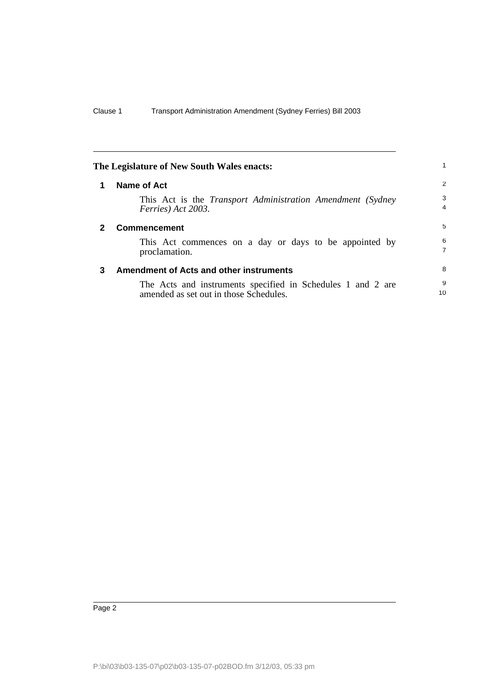| The Legislature of New South Wales enacts: |                                                                                                       |                     |  |
|--------------------------------------------|-------------------------------------------------------------------------------------------------------|---------------------|--|
| 1                                          | <b>Name of Act</b>                                                                                    | 2                   |  |
|                                            | This Act is the <i>Transport Administration Amendment (Sydney</i><br>Ferries) Act 2003.               | 3<br>$\overline{4}$ |  |
| 2                                          | <b>Commencement</b>                                                                                   | 5                   |  |
|                                            | This Act commences on a day or days to be appointed by<br>proclamation.                               | 6<br>7              |  |
| 3                                          | <b>Amendment of Acts and other instruments</b>                                                        | 8                   |  |
|                                            | The Acts and instruments specified in Schedules 1 and 2 are<br>amended as set out in those Schedules. | 9<br>10             |  |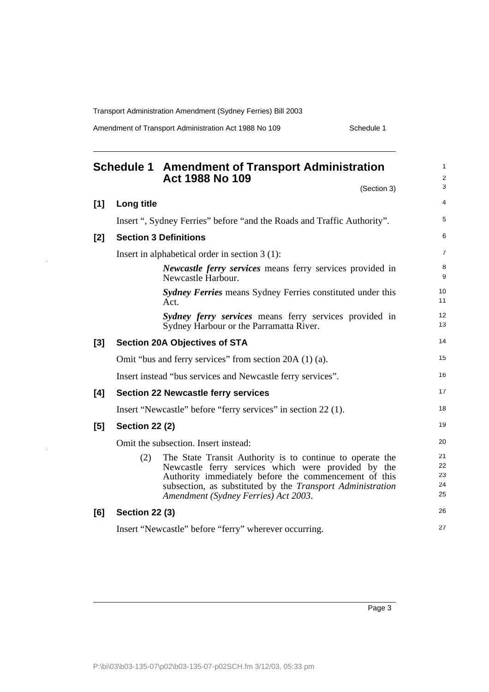Amendment of Transport Administration Act 1988 No 109 Schedule 1

|       |                       | <b>Schedule 1 Amendment of Transport Administration</b><br>Act 1988 No 109                                                                                                                                                                                                      | 1<br>$\overline{\mathbf{c}}$ |
|-------|-----------------------|---------------------------------------------------------------------------------------------------------------------------------------------------------------------------------------------------------------------------------------------------------------------------------|------------------------------|
|       |                       | (Section 3)                                                                                                                                                                                                                                                                     | 3                            |
| [1]   | Long title            |                                                                                                                                                                                                                                                                                 | 4                            |
|       |                       | Insert ", Sydney Ferries" before "and the Roads and Traffic Authority".                                                                                                                                                                                                         | 5                            |
| [2]   |                       | <b>Section 3 Definitions</b>                                                                                                                                                                                                                                                    | 6                            |
|       |                       | Insert in alphabetical order in section $3(1)$ :                                                                                                                                                                                                                                | 7                            |
|       |                       | Newcastle ferry services means ferry services provided in<br>Newcastle Harbour.                                                                                                                                                                                                 | 8<br>9                       |
|       |                       | Sydney Ferries means Sydney Ferries constituted under this<br>Act.                                                                                                                                                                                                              | 10<br>11                     |
|       |                       | Sydney ferry services means ferry services provided in<br>Sydney Harbour or the Parramatta River.                                                                                                                                                                               | 12<br>13                     |
| $[3]$ |                       | <b>Section 20A Objectives of STA</b>                                                                                                                                                                                                                                            | 14                           |
|       |                       | Omit "bus and ferry services" from section 20A (1) (a).                                                                                                                                                                                                                         | 15                           |
|       |                       | Insert instead "bus services and Newcastle ferry services".                                                                                                                                                                                                                     | 16                           |
| [4]   |                       | <b>Section 22 Newcastle ferry services</b>                                                                                                                                                                                                                                      | 17                           |
|       |                       | Insert "Newcastle" before "ferry services" in section 22 (1).                                                                                                                                                                                                                   | 18                           |
| [5]   | <b>Section 22 (2)</b> |                                                                                                                                                                                                                                                                                 | 19                           |
|       |                       | Omit the subsection. Insert instead:                                                                                                                                                                                                                                            | 20                           |
|       | (2)                   | The State Transit Authority is to continue to operate the<br>Newcastle ferry services which were provided by the<br>Authority immediately before the commencement of this<br>subsection, as substituted by the Transport Administration<br>Amendment (Sydney Ferries) Act 2003. | 21<br>22<br>23<br>24<br>25   |
| [6]   | <b>Section 22 (3)</b> |                                                                                                                                                                                                                                                                                 | 26                           |
|       |                       | Insert "Newcastle" before "ferry" wherever occurring.                                                                                                                                                                                                                           | 27                           |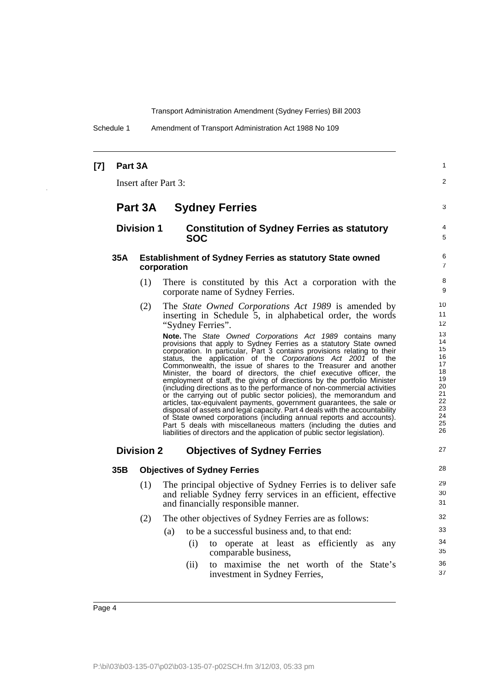Schedule 1 Amendment of Transport Administration Act 1988 No 109

| $[7]$ | Part 3A |                   |                                                                                                                                                                                                                                                                                                                                                                                                                                                                                                                                                                                                                                                                                                                                                                                                                                                                                                                                                                                                                                     | $\mathbf{1}$                                                                     |
|-------|---------|-------------------|-------------------------------------------------------------------------------------------------------------------------------------------------------------------------------------------------------------------------------------------------------------------------------------------------------------------------------------------------------------------------------------------------------------------------------------------------------------------------------------------------------------------------------------------------------------------------------------------------------------------------------------------------------------------------------------------------------------------------------------------------------------------------------------------------------------------------------------------------------------------------------------------------------------------------------------------------------------------------------------------------------------------------------------|----------------------------------------------------------------------------------|
|       |         |                   | Insert after Part 3:                                                                                                                                                                                                                                                                                                                                                                                                                                                                                                                                                                                                                                                                                                                                                                                                                                                                                                                                                                                                                | 2                                                                                |
|       |         | Part 3A           | <b>Sydney Ferries</b>                                                                                                                                                                                                                                                                                                                                                                                                                                                                                                                                                                                                                                                                                                                                                                                                                                                                                                                                                                                                               | 3                                                                                |
|       |         | <b>Division 1</b> | <b>Constitution of Sydney Ferries as statutory</b><br><b>SOC</b>                                                                                                                                                                                                                                                                                                                                                                                                                                                                                                                                                                                                                                                                                                                                                                                                                                                                                                                                                                    | 4<br>5                                                                           |
|       | 35A     |                   | <b>Establishment of Sydney Ferries as statutory State owned</b><br>corporation                                                                                                                                                                                                                                                                                                                                                                                                                                                                                                                                                                                                                                                                                                                                                                                                                                                                                                                                                      | 6<br>$\overline{7}$                                                              |
|       |         | (1)               | There is constituted by this Act a corporation with the<br>corporate name of Sydney Ferries.                                                                                                                                                                                                                                                                                                                                                                                                                                                                                                                                                                                                                                                                                                                                                                                                                                                                                                                                        | 8<br>9                                                                           |
|       |         | (2)               | The <i>State Owned Corporations Act 1989</i> is amended by<br>inserting in Schedule 5, in alphabetical order, the words<br>"Sydney Ferries".                                                                                                                                                                                                                                                                                                                                                                                                                                                                                                                                                                                                                                                                                                                                                                                                                                                                                        | 10<br>11<br>12 <sup>2</sup>                                                      |
|       |         |                   | Note. The State Owned Corporations Act 1989 contains many<br>provisions that apply to Sydney Ferries as a statutory State owned<br>corporation. In particular, Part 3 contains provisions relating to their<br>status, the application of the Corporations Act 2001 of the<br>Commonwealth, the issue of shares to the Treasurer and another<br>Minister, the board of directors, the chief executive officer, the<br>employment of staff, the giving of directions by the portfolio Minister<br>(including directions as to the performance of non-commercial activities<br>or the carrying out of public sector policies), the memorandum and<br>articles, tax-equivalent payments, government guarantees, the sale or<br>disposal of assets and legal capacity. Part 4 deals with the accountability<br>of State owned corporations (including annual reports and accounts).<br>Part 5 deals with miscellaneous matters (including the duties and<br>liabilities of directors and the application of public sector legislation). | 13<br>14<br>15<br>16<br>17<br>18<br>19<br>20<br>21<br>22<br>23<br>24<br>25<br>26 |
|       |         | <b>Division 2</b> | <b>Objectives of Sydney Ferries</b>                                                                                                                                                                                                                                                                                                                                                                                                                                                                                                                                                                                                                                                                                                                                                                                                                                                                                                                                                                                                 | 27                                                                               |
|       | 35B     |                   | <b>Objectives of Sydney Ferries</b>                                                                                                                                                                                                                                                                                                                                                                                                                                                                                                                                                                                                                                                                                                                                                                                                                                                                                                                                                                                                 | 28                                                                               |
|       |         | (1)               | The principal objective of Sydney Ferries is to deliver safe<br>and reliable Sydney ferry services in an efficient, effective<br>and financially responsible manner.                                                                                                                                                                                                                                                                                                                                                                                                                                                                                                                                                                                                                                                                                                                                                                                                                                                                | 29<br>30<br>31                                                                   |
|       |         | (2)               | The other objectives of Sydney Ferries are as follows:                                                                                                                                                                                                                                                                                                                                                                                                                                                                                                                                                                                                                                                                                                                                                                                                                                                                                                                                                                              | 32                                                                               |
|       |         |                   | to be a successful business and, to that end:<br>(a)<br>to operate at least as efficiently as any<br>(i)<br>comparable business,<br>to maximise the net worth of the State's<br>(ii)<br>investment in Sydney Ferries,                                                                                                                                                                                                                                                                                                                                                                                                                                                                                                                                                                                                                                                                                                                                                                                                               | 33<br>34<br>35<br>36<br>37                                                       |
|       |         |                   |                                                                                                                                                                                                                                                                                                                                                                                                                                                                                                                                                                                                                                                                                                                                                                                                                                                                                                                                                                                                                                     |                                                                                  |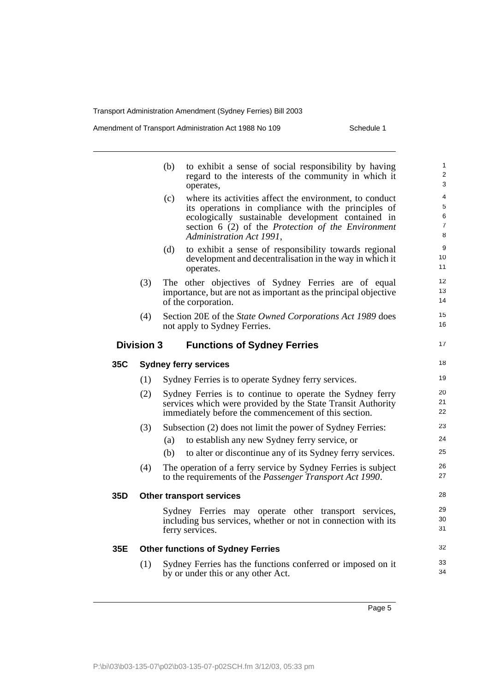## Amendment of Transport Administration Act 1988 No 109 Schedule 1

|     |                   | (b)<br>to exhibit a sense of social responsibility by having<br>regard to the interests of the community in which it<br>operates,                                                                                                                                    | $\mathbf{1}$<br>$\overline{2}$<br>3                      |
|-----|-------------------|----------------------------------------------------------------------------------------------------------------------------------------------------------------------------------------------------------------------------------------------------------------------|----------------------------------------------------------|
|     |                   | where its activities affect the environment, to conduct<br>(c)<br>its operations in compliance with the principles of<br>ecologically sustainable development contained in<br>section $6(2)$ of the <i>Protection of the Environment</i><br>Administration Act 1991, | $\overline{\mathbf{4}}$<br>5<br>6<br>$\overline{7}$<br>8 |
|     |                   | to exhibit a sense of responsibility towards regional<br>(d)<br>development and decentralisation in the way in which it<br>operates.                                                                                                                                 | 9<br>10<br>11                                            |
|     | (3)               | The other objectives of Sydney Ferries are of equal<br>importance, but are not as important as the principal objective<br>of the corporation.                                                                                                                        | 12<br>13<br>14                                           |
|     | (4)               | Section 20E of the State Owned Corporations Act 1989 does<br>not apply to Sydney Ferries.                                                                                                                                                                            | 15<br>16                                                 |
|     | <b>Division 3</b> | <b>Functions of Sydney Ferries</b>                                                                                                                                                                                                                                   | 17                                                       |
| 35C |                   | <b>Sydney ferry services</b>                                                                                                                                                                                                                                         | 18                                                       |
|     |                   |                                                                                                                                                                                                                                                                      |                                                          |
|     | (1)               | Sydney Ferries is to operate Sydney ferry services.                                                                                                                                                                                                                  | 19                                                       |
|     | (2)               | Sydney Ferries is to continue to operate the Sydney ferry<br>services which were provided by the State Transit Authority<br>immediately before the commencement of this section.                                                                                     | 20<br>21<br>22                                           |
|     | (3)               | Subsection (2) does not limit the power of Sydney Ferries:                                                                                                                                                                                                           | 23                                                       |
|     |                   | to establish any new Sydney ferry service, or<br>(a)                                                                                                                                                                                                                 | 24                                                       |
|     |                   | to alter or discontinue any of its Sydney ferry services.<br>(b)                                                                                                                                                                                                     | 25                                                       |
|     | (4)               | The operation of a ferry service by Sydney Ferries is subject<br>to the requirements of the <i>Passenger Transport Act 1990</i> .                                                                                                                                    | 26<br>27                                                 |
| 35D |                   | <b>Other transport services</b>                                                                                                                                                                                                                                      | 28                                                       |
|     |                   | Sydney Ferries may operate other transport services,<br>including bus services, whether or not in connection with its<br>ferry services.                                                                                                                             | 29<br>30<br>31                                           |
| 35E |                   | <b>Other functions of Sydney Ferries</b>                                                                                                                                                                                                                             | 32                                                       |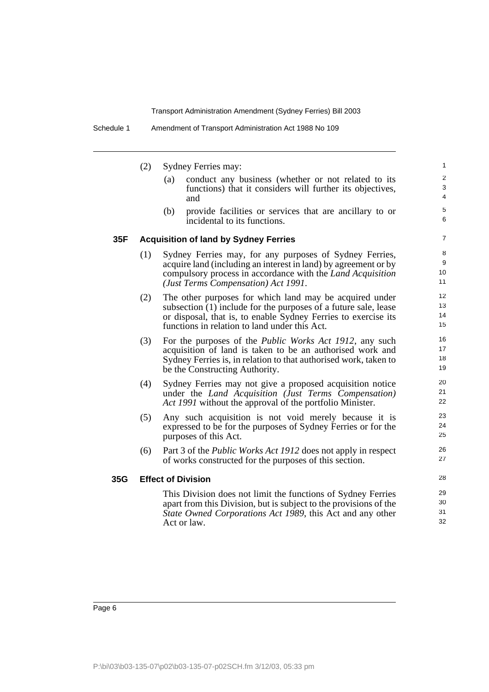|     | (2) | Sydney Ferries may:                                                                                                                                                                                                                           | $\mathbf{1}$             |
|-----|-----|-----------------------------------------------------------------------------------------------------------------------------------------------------------------------------------------------------------------------------------------------|--------------------------|
|     |     | conduct any business (whether or not related to its<br>(a)<br>functions) that it considers will further its objectives,<br>and                                                                                                                | $\overline{c}$<br>3<br>4 |
|     |     | (b)<br>provide facilities or services that are ancillary to or<br>incidental to its functions.                                                                                                                                                | 5<br>6                   |
| 35F |     | <b>Acquisition of land by Sydney Ferries</b>                                                                                                                                                                                                  | 7                        |
|     | (1) | Sydney Ferries may, for any purposes of Sydney Ferries,<br>acquire land (including an interest in land) by agreement or by<br>compulsory process in accordance with the Land Acquisition<br>(Just Terms Compensation) Act 1991.               | 8<br>9<br>10<br>11       |
|     | (2) | The other purposes for which land may be acquired under<br>subsection (1) include for the purposes of a future sale, lease<br>or disposal, that is, to enable Sydney Ferries to exercise its<br>functions in relation to land under this Act. | 12<br>13<br>14<br>15     |
|     | (3) | For the purposes of the <i>Public Works Act 1912</i> , any such<br>acquisition of land is taken to be an authorised work and<br>Sydney Ferries is, in relation to that authorised work, taken to<br>be the Constructing Authority.            | 16<br>17<br>18<br>19     |
|     | (4) | Sydney Ferries may not give a proposed acquisition notice<br>under the Land Acquisition (Just Terms Compensation)<br>Act 1991 without the approval of the portfolio Minister.                                                                 | 20<br>21<br>22           |
|     | (5) | Any such acquisition is not void merely because it is<br>expressed to be for the purposes of Sydney Ferries or for the<br>purposes of this Act.                                                                                               | 23<br>24<br>25           |
|     | (6) | Part 3 of the <i>Public Works Act 1912</i> does not apply in respect<br>of works constructed for the purposes of this section.                                                                                                                | 26<br>27                 |
| 35G |     | <b>Effect of Division</b>                                                                                                                                                                                                                     | 28                       |
|     |     | This Division does not limit the functions of Sydney Ferries<br>apart from this Division, but is subject to the provisions of the<br>State Owned Corporations Act 1989, this Act and any other<br>Act or law.                                 | 29<br>30<br>31<br>32     |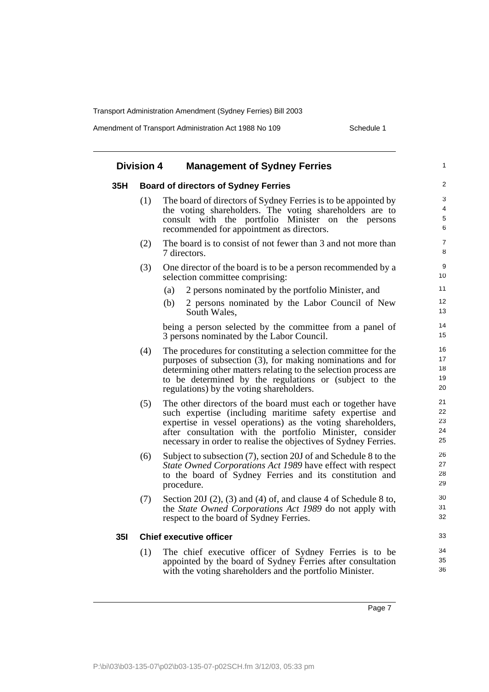Amendment of Transport Administration Act 1988 No 109 Schedule 1

|            | <b>Division 4</b> | <b>Management of Sydney Ferries</b>                                                                                                                                                                                                                                                                                  | 1                          |
|------------|-------------------|----------------------------------------------------------------------------------------------------------------------------------------------------------------------------------------------------------------------------------------------------------------------------------------------------------------------|----------------------------|
| 35H        |                   | <b>Board of directors of Sydney Ferries</b>                                                                                                                                                                                                                                                                          | 2                          |
|            | (1)               | The board of directors of Sydney Ferries is to be appointed by<br>the voting shareholders. The voting shareholders are to<br>consult with the portfolio Minister on the persons<br>recommended for appointment as directors.                                                                                         | 3<br>4<br>5<br>6           |
|            | (2)               | The board is to consist of not fewer than 3 and not more than<br>7 directors.                                                                                                                                                                                                                                        | 7<br>8                     |
|            | (3)               | One director of the board is to be a person recommended by a<br>selection committee comprising:                                                                                                                                                                                                                      | 9<br>10                    |
|            |                   | 2 persons nominated by the portfolio Minister, and<br>(a)                                                                                                                                                                                                                                                            | 11                         |
|            |                   | (b)<br>2 persons nominated by the Labor Council of New<br>South Wales,                                                                                                                                                                                                                                               | 12<br>13                   |
|            |                   | being a person selected by the committee from a panel of<br>3 persons nominated by the Labor Council.                                                                                                                                                                                                                | 14<br>15                   |
|            | (4)               | The procedures for constituting a selection committee for the<br>purposes of subsection (3), for making nominations and for<br>determining other matters relating to the selection process are<br>to be determined by the regulations or (subject to the<br>regulations) by the voting shareholders.                 | 16<br>17<br>18<br>19<br>20 |
|            | (5)               | The other directors of the board must each or together have<br>such expertise (including maritime safety expertise and<br>expertise in vessel operations) as the voting shareholders,<br>after consultation with the portfolio Minister, consider<br>necessary in order to realise the objectives of Sydney Ferries. | 21<br>22<br>23<br>24<br>25 |
|            | (6)               | Subject to subsection (7), section 20J of and Schedule 8 to the<br>State Owned Corporations Act 1989 have effect with respect<br>to the board of Sydney Ferries and its constitution and<br>procedure.                                                                                                               | 26<br>27<br>28<br>29       |
|            | (7)               | Section 20J $(2)$ , $(3)$ and $(4)$ of, and clause 4 of Schedule 8 to,<br>the State Owned Corporations Act 1989 do not apply with<br>respect to the board of Sydney Ferries.                                                                                                                                         | 30<br>31<br>32             |
| <b>351</b> |                   | <b>Chief executive officer</b>                                                                                                                                                                                                                                                                                       | 33                         |
|            | (1)               | The chief executive officer of Sydney Ferries is to be<br>appointed by the board of Sydney Ferries after consultation<br>with the voting shareholders and the portfolio Minister.                                                                                                                                    | 34<br>35<br>36             |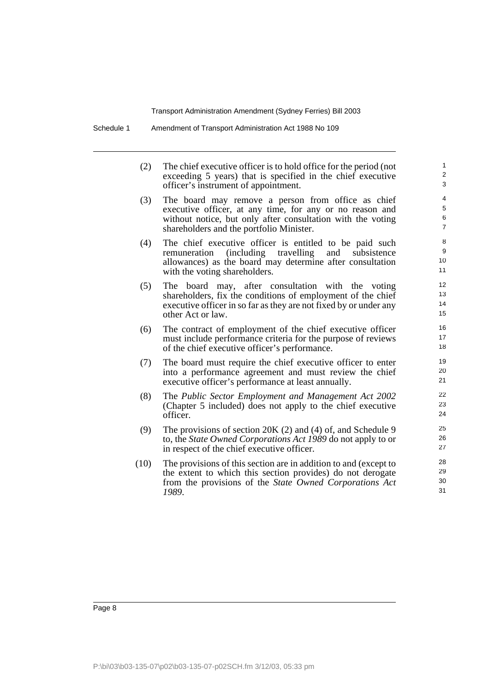(2) The chief executive officer is to hold office for the period (not exceeding 5 years) that is specified in the chief executive officer's instrument of appointment.

- (3) The board may remove a person from office as chief executive officer, at any time, for any or no reason and without notice, but only after consultation with the voting shareholders and the portfolio Minister.
- (4) The chief executive officer is entitled to be paid such remuneration (including travelling and subsistence allowances) as the board may determine after consultation with the voting shareholders.
- (5) The board may, after consultation with the voting shareholders, fix the conditions of employment of the chief executive officer in so far as they are not fixed by or under any other Act or law.
- (6) The contract of employment of the chief executive officer must include performance criteria for the purpose of reviews of the chief executive officer's performance.
- (7) The board must require the chief executive officer to enter into a performance agreement and must review the chief executive officer's performance at least annually.
- (8) The *Public Sector Employment and Management Act 2002* (Chapter 5 included) does not apply to the chief executive officer.
- (9) The provisions of section 20K (2) and (4) of, and Schedule 9 to, the *State Owned Corporations Act 1989* do not apply to or in respect of the chief executive officer.
- (10) The provisions of this section are in addition to and (except to the extent to which this section provides) do not derogate from the provisions of the *State Owned Corporations Act 1989*.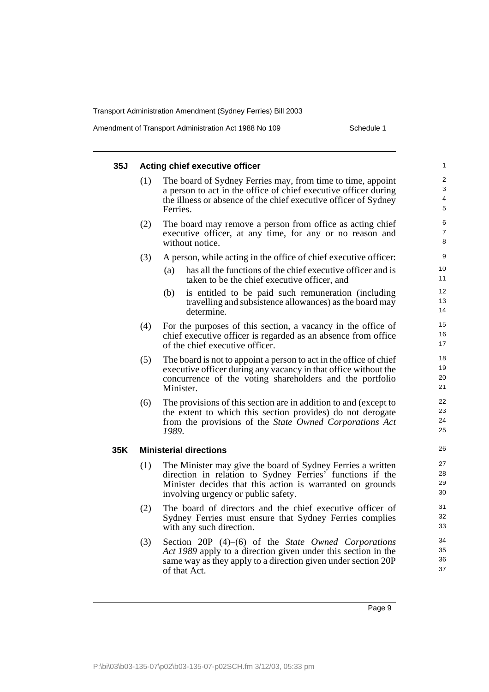| 35J |     | Acting chief executive officer                                                                                                                                                                                               | $\mathbf{1}$                           |
|-----|-----|------------------------------------------------------------------------------------------------------------------------------------------------------------------------------------------------------------------------------|----------------------------------------|
|     | (1) | The board of Sydney Ferries may, from time to time, appoint<br>a person to act in the office of chief executive officer during<br>the illness or absence of the chief executive officer of Sydney<br>Ferries.                | $\overline{\mathbf{c}}$<br>3<br>4<br>5 |
|     | (2) | The board may remove a person from office as acting chief<br>executive officer, at any time, for any or no reason and<br>without notice.                                                                                     | 6<br>$\overline{7}$<br>8               |
|     | (3) | A person, while acting in the office of chief executive officer:                                                                                                                                                             | 9                                      |
|     |     | has all the functions of the chief executive officer and is<br>(a)<br>taken to be the chief executive officer, and                                                                                                           | 10<br>11                               |
|     |     | is entitled to be paid such remuneration (including<br>(b)<br>travelling and subsistence allowances) as the board may<br>determine.                                                                                          | 12<br>13<br>14                         |
|     | (4) | For the purposes of this section, a vacancy in the office of<br>chief executive officer is regarded as an absence from office<br>of the chief executive officer.                                                             | 15<br>16<br>17                         |
|     | (5) | The board is not to appoint a person to act in the office of chief<br>executive officer during any vacancy in that office without the<br>concurrence of the voting shareholders and the portfolio<br>Minister.               | 18<br>19<br>20<br>21                   |
|     | (6) | The provisions of this section are in addition to and (except to<br>the extent to which this section provides) do not derogate<br>from the provisions of the State Owned Corporations Act<br>1989.                           | 22<br>23<br>24<br>25                   |
| 35K |     | <b>Ministerial directions</b>                                                                                                                                                                                                | 26                                     |
|     | (1) | The Minister may give the board of Sydney Ferries a written<br>direction in relation to Sydney Ferries' functions if the<br>Minister decides that this action is warranted on grounds<br>involving urgency or public safety. | 27<br>28<br>29<br>30                   |
|     | (2) | The board of directors and the chief executive officer of<br>Sydney Ferries must ensure that Sydney Ferries complies<br>with any such direction.                                                                             | 31<br>32<br>33                         |
|     | (3) | Section 20P $(4)$ – $(6)$ of the State Owned Corporations<br>Act 1989 apply to a direction given under this section in the<br>same way as they apply to a direction given under section 20P<br>of that Act.                  | 34<br>35<br>36<br>37                   |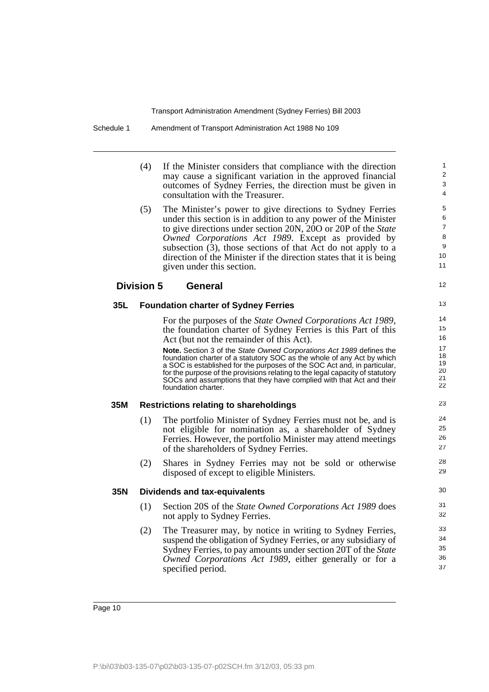|     | (4)               | If the Minister considers that compliance with the direction<br>may cause a significant variation in the approved financial<br>outcomes of Sydney Ferries, the direction must be given in<br>consultation with the Treasurer.                                                                                                                                                                                         | 1<br>$\overline{2}$<br>3<br>$\overline{4}$     |
|-----|-------------------|-----------------------------------------------------------------------------------------------------------------------------------------------------------------------------------------------------------------------------------------------------------------------------------------------------------------------------------------------------------------------------------------------------------------------|------------------------------------------------|
|     | (5)               | The Minister's power to give directions to Sydney Ferries<br>under this section is in addition to any power of the Minister<br>to give directions under section 20N, 20O or 20P of the State<br>Owned Corporations Act 1989. Except as provided by<br>subsection (3), those sections of that Act do not apply to a<br>direction of the Minister if the direction states that it is being<br>given under this section. | 5<br>6<br>$\overline{7}$<br>8<br>9<br>10<br>11 |
|     | <b>Division 5</b> | General                                                                                                                                                                                                                                                                                                                                                                                                               | 12                                             |
| 35L |                   | <b>Foundation charter of Sydney Ferries</b>                                                                                                                                                                                                                                                                                                                                                                           | 13                                             |
|     |                   | For the purposes of the State Owned Corporations Act 1989,<br>the foundation charter of Sydney Ferries is this Part of this<br>Act (but not the remainder of this Act).                                                                                                                                                                                                                                               | 14<br>15<br>16                                 |
|     |                   | Note. Section 3 of the State Owned Corporations Act 1989 defines the<br>foundation charter of a statutory SOC as the whole of any Act by which<br>a SOC is established for the purposes of the SOC Act and, in particular,<br>for the purpose of the provisions relating to the legal capacity of statutory<br>SOCs and assumptions that they have complied with that Act and their<br>foundation charter.            | 17<br>18<br>19<br>20<br>21<br>22               |
| 35M |                   | <b>Restrictions relating to shareholdings</b>                                                                                                                                                                                                                                                                                                                                                                         | 23                                             |
|     | (1)               | The portfolio Minister of Sydney Ferries must not be, and is<br>not eligible for nomination as, a shareholder of Sydney<br>Ferries. However, the portfolio Minister may attend meetings<br>of the shareholders of Sydney Ferries.                                                                                                                                                                                     | 24<br>25<br>26<br>27                           |
|     | (2)               | Shares in Sydney Ferries may not be sold or otherwise<br>disposed of except to eligible Ministers.                                                                                                                                                                                                                                                                                                                    | 28<br>29                                       |
| 35N |                   | <b>Dividends and tax-equivalents</b>                                                                                                                                                                                                                                                                                                                                                                                  | 30                                             |
|     | (1)               | Section 20S of the State Owned Corporations Act 1989 does<br>not apply to Sydney Ferries.                                                                                                                                                                                                                                                                                                                             | 31<br>32                                       |
|     | (2)               | The Treasurer may, by notice in writing to Sydney Ferries,<br>suspend the obligation of Sydney Ferries, or any subsidiary of<br>Sydney Ferries, to pay amounts under section 20T of the State<br>Owned Corporations Act 1989, either generally or for a<br>specified period.                                                                                                                                          | 33<br>34<br>35<br>36<br>37                     |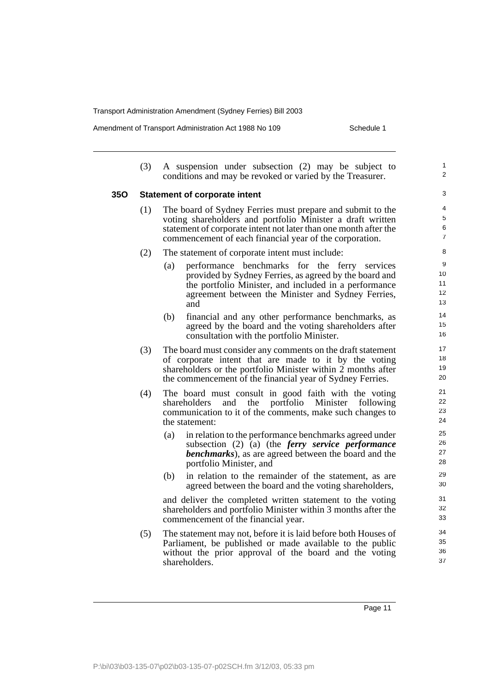Amendment of Transport Administration Act 1988 No 109 Schedule 1

|            | (3)                                       | A suspension under subsection (2) may be subject to<br>conditions and may be revoked or varied by the Treasurer.                                                                                                                                        | 1<br>2                                 |  |  |  |
|------------|-------------------------------------------|---------------------------------------------------------------------------------------------------------------------------------------------------------------------------------------------------------------------------------------------------------|----------------------------------------|--|--|--|
| <b>350</b> | 3<br><b>Statement of corporate intent</b> |                                                                                                                                                                                                                                                         |                                        |  |  |  |
|            | (1)                                       | The board of Sydney Ferries must prepare and submit to the<br>voting shareholders and portfolio Minister a draft written<br>statement of corporate intent not later than one month after the<br>commencement of each financial year of the corporation. |                                        |  |  |  |
|            | (2)                                       | The statement of corporate intent must include:                                                                                                                                                                                                         | 8                                      |  |  |  |
|            |                                           | performance benchmarks for the ferry services<br>(a)<br>provided by Sydney Ferries, as agreed by the board and<br>the portfolio Minister, and included in a performance<br>agreement between the Minister and Sydney Ferries,<br>and                    | 9<br>10<br>11<br>12 <sup>2</sup><br>13 |  |  |  |
|            |                                           | (b)<br>financial and any other performance benchmarks, as<br>agreed by the board and the voting shareholders after<br>consultation with the portfolio Minister.                                                                                         | 14<br>15<br>16                         |  |  |  |
|            | (3)                                       | The board must consider any comments on the draft statement<br>of corporate intent that are made to it by the voting<br>shareholders or the portfolio Minister within 2 months after<br>the commencement of the financial year of Sydney Ferries.       | 17<br>18<br>19<br>20                   |  |  |  |
|            | (4)                                       | The board must consult in good faith with the voting<br>the portfolio Minister following<br>shareholders<br>and<br>communication to it of the comments, make such changes to<br>the statement:                                                          | 21<br>22<br>23<br>24                   |  |  |  |
|            |                                           | in relation to the performance benchmarks agreed under<br>(a)<br>subsection $(2)$ $(a)$ (the <i>ferry service performance</i><br><b>benchmarks</b> ), as are agreed between the board and the<br>portfolio Minister, and                                | 25<br>26<br>27<br>28                   |  |  |  |
|            |                                           | in relation to the remainder of the statement, as are<br>(b)<br>agreed between the board and the voting shareholders,                                                                                                                                   | 29<br>30                               |  |  |  |
|            |                                           | and deliver the completed written statement to the voting<br>shareholders and portfolio Minister within 3 months after the<br>commencement of the financial year.                                                                                       | 31<br>32<br>33                         |  |  |  |
|            | (5)                                       | The statement may not, before it is laid before both Houses of<br>Parliament, be published or made available to the public<br>without the prior approval of the board and the voting<br>shareholders.                                                   | 34<br>35<br>36<br>37                   |  |  |  |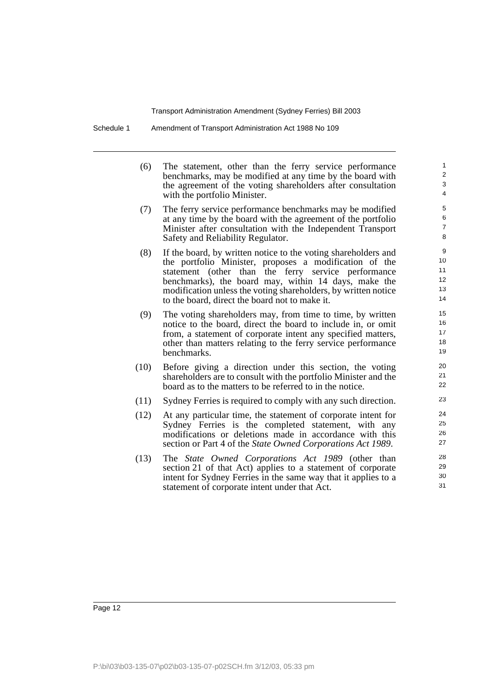(6) The statement, other than the ferry service performance benchmarks, may be modified at any time by the board with the agreement of the voting shareholders after consultation with the portfolio Minister.

- (7) The ferry service performance benchmarks may be modified at any time by the board with the agreement of the portfolio Minister after consultation with the Independent Transport Safety and Reliability Regulator.
- (8) If the board, by written notice to the voting shareholders and the portfolio Minister, proposes a modification of the statement (other than the ferry service performance benchmarks), the board may, within 14 days, make the modification unless the voting shareholders, by written notice to the board, direct the board not to make it.
- (9) The voting shareholders may, from time to time, by written notice to the board, direct the board to include in, or omit from, a statement of corporate intent any specified matters, other than matters relating to the ferry service performance benchmarks.
- (10) Before giving a direction under this section, the voting shareholders are to consult with the portfolio Minister and the board as to the matters to be referred to in the notice.
- (11) Sydney Ferries is required to comply with any such direction.
- (12) At any particular time, the statement of corporate intent for Sydney Ferries is the completed statement, with any modifications or deletions made in accordance with this section or Part 4 of the *State Owned Corporations Act 1989*.
- (13) The *State Owned Corporations Act 1989* (other than section 21 of that Act) applies to a statement of corporate intent for Sydney Ferries in the same way that it applies to a statement of corporate intent under that Act.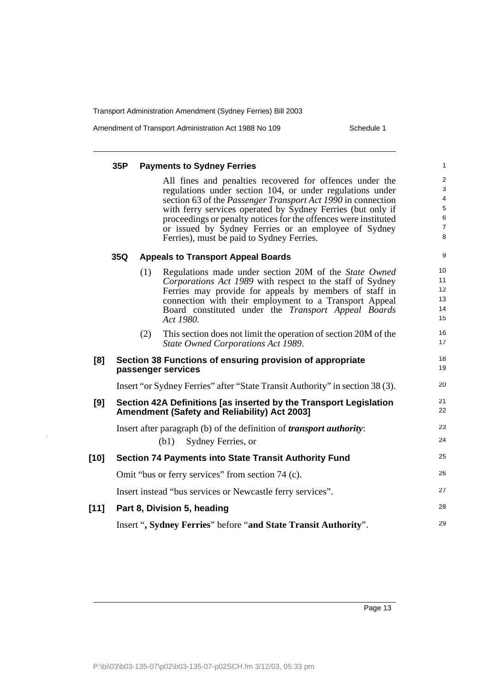Amendment of Transport Administration Act 1988 No 109 Schedule 1

 $\bar{z}$ 

|        | 35P |     | <b>Payments to Sydney Ferries</b>                                                                                                                                                                                                                                                                                                                                                                                                   | 1                                                     |
|--------|-----|-----|-------------------------------------------------------------------------------------------------------------------------------------------------------------------------------------------------------------------------------------------------------------------------------------------------------------------------------------------------------------------------------------------------------------------------------------|-------------------------------------------------------|
|        |     |     | All fines and penalties recovered for offences under the<br>regulations under section 104, or under regulations under<br>section 63 of the <i>Passenger Transport Act 1990</i> in connection<br>with ferry services operated by Sydney Ferries (but only if<br>proceedings or penalty notices for the offences were instituted<br>or issued by Sydney Ferries or an employee of Sydney<br>Ferries), must be paid to Sydney Ferries. | $\overline{\mathbf{c}}$<br>3<br>4<br>5<br>6<br>7<br>8 |
|        | 35Q |     | <b>Appeals to Transport Appeal Boards</b>                                                                                                                                                                                                                                                                                                                                                                                           | 9                                                     |
|        |     | (1) | Regulations made under section 20M of the State Owned<br>Corporations Act 1989 with respect to the staff of Sydney<br>Ferries may provide for appeals by members of staff in<br>connection with their employment to a Transport Appeal<br>Board constituted under the Transport Appeal Boards<br>Act 1980.                                                                                                                          | 10<br>11<br>12<br>13<br>14<br>15                      |
|        |     | (2) | This section does not limit the operation of section 20M of the<br>State Owned Corporations Act 1989.                                                                                                                                                                                                                                                                                                                               | 16<br>17                                              |
| [8]    |     |     | Section 38 Functions of ensuring provision of appropriate<br>passenger services                                                                                                                                                                                                                                                                                                                                                     | 18<br>19                                              |
|        |     |     | Insert "or Sydney Ferries" after "State Transit Authority" in section 38 (3).                                                                                                                                                                                                                                                                                                                                                       | 20                                                    |
| [9]    |     |     | Section 42A Definitions [as inserted by the Transport Legislation<br>Amendment (Safety and Reliability) Act 2003]                                                                                                                                                                                                                                                                                                                   | 21<br>22                                              |
|        |     |     | Insert after paragraph (b) of the definition of <i>transport authority</i> :                                                                                                                                                                                                                                                                                                                                                        | 23                                                    |
|        |     |     | (b1)<br>Sydney Ferries, or                                                                                                                                                                                                                                                                                                                                                                                                          | 24                                                    |
| $[10]$ |     |     | <b>Section 74 Payments into State Transit Authority Fund</b>                                                                                                                                                                                                                                                                                                                                                                        | 25                                                    |
|        |     |     | Omit "bus or ferry services" from section 74 (c).                                                                                                                                                                                                                                                                                                                                                                                   | 26                                                    |
|        |     |     | Insert instead "bus services or Newcastle ferry services".                                                                                                                                                                                                                                                                                                                                                                          | 27                                                    |
| $[11]$ |     |     | Part 8, Division 5, heading                                                                                                                                                                                                                                                                                                                                                                                                         | 28                                                    |
|        |     |     | Insert ", Sydney Ferries" before "and State Transit Authority".                                                                                                                                                                                                                                                                                                                                                                     | 29                                                    |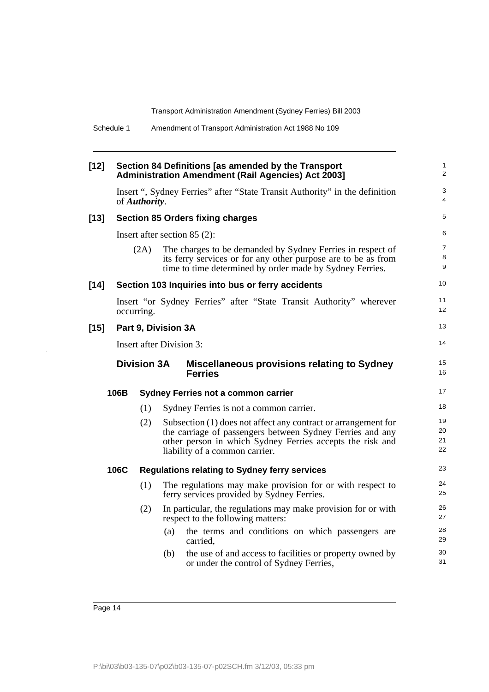Schedule 1 Amendment of Transport Administration Act 1988 No 109

| $[12]$ |      |                              | Section 84 Definitions [as amended by the Transport<br><b>Administration Amendment (Rail Agencies) Act 2003]</b>                                                                                                           | 1<br>2                   |
|--------|------|------------------------------|----------------------------------------------------------------------------------------------------------------------------------------------------------------------------------------------------------------------------|--------------------------|
|        |      | of <b><i>Authority</i></b> . | Insert ", Sydney Ferries" after "State Transit Authority" in the definition                                                                                                                                                | 3<br>4                   |
| $[13]$ |      |                              | <b>Section 85 Orders fixing charges</b>                                                                                                                                                                                    | 5                        |
|        |      |                              | Insert after section 85 (2):                                                                                                                                                                                               | 6                        |
|        |      | (2A)                         | The charges to be demanded by Sydney Ferries in respect of<br>its ferry services or for any other purpose are to be as from<br>time to time determined by order made by Sydney Ferries.                                    | $\overline{7}$<br>8<br>9 |
| $[14]$ |      |                              | Section 103 Inquiries into bus or ferry accidents                                                                                                                                                                          | 10                       |
|        |      | occurring.                   | Insert "or Sydney Ferries" after "State Transit Authority" wherever                                                                                                                                                        | 11<br>12                 |
| $[15]$ |      |                              | Part 9, Division 3A                                                                                                                                                                                                        | 13                       |
|        |      |                              | <b>Insert after Division 3:</b>                                                                                                                                                                                            | 14                       |
|        |      | <b>Division 3A</b>           | <b>Miscellaneous provisions relating to Sydney</b><br><b>Ferries</b>                                                                                                                                                       | 15<br>16                 |
|        | 106B |                              | <b>Sydney Ferries not a common carrier</b>                                                                                                                                                                                 | 17                       |
|        |      | (1)                          | Sydney Ferries is not a common carrier.                                                                                                                                                                                    | 18                       |
|        |      | (2)                          | Subsection (1) does not affect any contract or arrangement for<br>the carriage of passengers between Sydney Ferries and any<br>other person in which Sydney Ferries accepts the risk and<br>liability of a common carrier. | 19<br>20<br>21<br>22     |
|        | 106C |                              | <b>Regulations relating to Sydney ferry services</b>                                                                                                                                                                       | 23                       |
|        |      | (1)                          | The regulations may make provision for or with respect to<br>ferry services provided by Sydney Ferries.                                                                                                                    | 24<br>25                 |
|        |      | (2)                          | In particular, the regulations may make provision for or with<br>respect to the following matters:                                                                                                                         | 26<br>27                 |
|        |      |                              | (a)<br>the terms and conditions on which passengers are<br>carried,                                                                                                                                                        | 28<br>29                 |
|        |      |                              | the use of and access to facilities or property owned by<br>(b)<br>or under the control of Sydney Ferries,                                                                                                                 | 30<br>31                 |

l.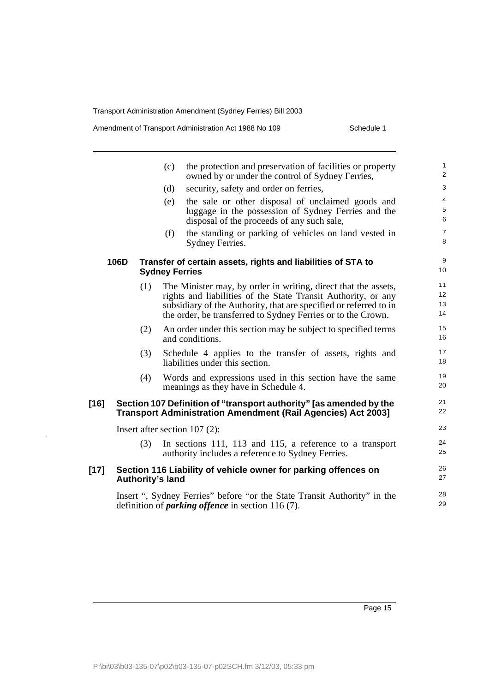|        |      |     | (c)                   | the protection and preservation of facilities or property<br>owned by or under the control of Sydney Ferries,                                                                                                                                                        | $\mathbf{1}$<br>$\overline{2}$ |
|--------|------|-----|-----------------------|----------------------------------------------------------------------------------------------------------------------------------------------------------------------------------------------------------------------------------------------------------------------|--------------------------------|
|        |      |     | (d)                   | security, safety and order on ferries,                                                                                                                                                                                                                               | 3                              |
|        |      |     | (e)                   | the sale or other disposal of unclaimed goods and<br>luggage in the possession of Sydney Ferries and the<br>disposal of the proceeds of any such sale,                                                                                                               | 4<br>5<br>6                    |
|        |      |     | (f)                   | the standing or parking of vehicles on land vested in<br>Sydney Ferries.                                                                                                                                                                                             | $\overline{7}$<br>8            |
|        | 106D |     | <b>Sydney Ferries</b> | Transfer of certain assets, rights and liabilities of STA to                                                                                                                                                                                                         | 9<br>10 <sup>°</sup>           |
|        |      | (1) |                       | The Minister may, by order in writing, direct that the assets,<br>rights and liabilities of the State Transit Authority, or any<br>subsidiary of the Authority, that are specified or referred to in<br>the order, be transferred to Sydney Ferries or to the Crown. | 11<br>12<br>13<br>14           |
|        |      | (2) |                       | An order under this section may be subject to specified terms<br>and conditions.                                                                                                                                                                                     | 15<br>16                       |
|        |      | (3) |                       | Schedule 4 applies to the transfer of assets, rights and<br>liabilities under this section.                                                                                                                                                                          | 17<br>18                       |
|        |      | (4) |                       | Words and expressions used in this section have the same<br>meanings as they have in Schedule 4.                                                                                                                                                                     | 19<br>20                       |
| [16]   |      |     |                       | Section 107 Definition of "transport authority" [as amended by the<br><b>Transport Administration Amendment (Rail Agencies) Act 2003]</b>                                                                                                                            | 21<br>22                       |
|        |      |     |                       | Insert after section $107(2)$ :                                                                                                                                                                                                                                      | 23                             |
|        |      | (3) |                       | In sections 111, 113 and 115, a reference to a transport<br>authority includes a reference to Sydney Ferries.                                                                                                                                                        | 24<br>25                       |
| $[17]$ |      |     | Authority's land      | Section 116 Liability of vehicle owner for parking offences on                                                                                                                                                                                                       | 26<br>27                       |
|        |      |     |                       | Insert ", Sydney Ferries" before "or the State Transit Authority" in the<br>definition of <i>parking offence</i> in section 116 $(7)$ .                                                                                                                              | 28<br>29                       |

Page 15

 $\hat{\mathcal{F}}$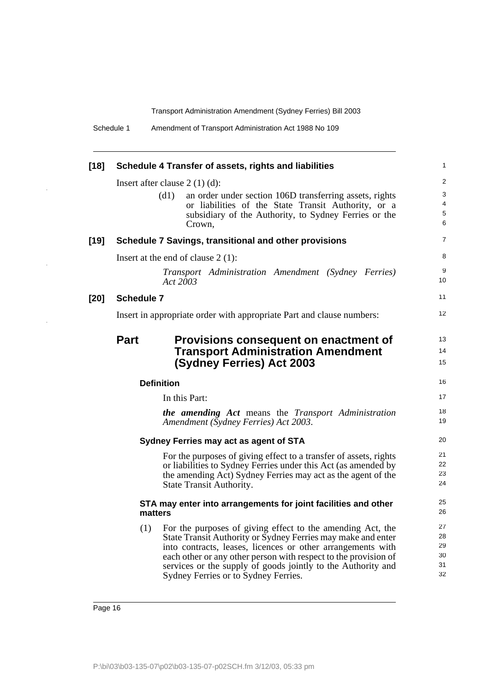7

8 9 10

11

12

13 14 15

Schedule 1 Amendment of Transport Administration Act 1988 No 109

| $[18]$ |                                                                       | Schedule 4 Transfer of assets, rights and liabilities                                                                                                                                     |  |
|--------|-----------------------------------------------------------------------|-------------------------------------------------------------------------------------------------------------------------------------------------------------------------------------------|--|
|        |                                                                       | Insert after clause $2(1)(d)$ :                                                                                                                                                           |  |
|        |                                                                       | (d1)<br>an order under section 106D transferring assets, rights<br>or liabilities of the State Transit Authority, or a<br>subsidiary of the Authority, to Sydney Ferries or the<br>Crown, |  |
| $[19]$ | Schedule 7 Savings, transitional and other provisions                 |                                                                                                                                                                                           |  |
|        | Insert at the end of clause $2(1)$ :                                  |                                                                                                                                                                                           |  |
|        |                                                                       | Transport Administration Amendment (Sydney Ferries)<br>Act 2003                                                                                                                           |  |
| [20]   | <b>Schedule 7</b>                                                     |                                                                                                                                                                                           |  |
|        | Insert in appropriate order with appropriate Part and clause numbers: |                                                                                                                                                                                           |  |
|        | <b>Part</b>                                                           | Provisions consequent on enactment of<br><b>Transport Administration Amendment</b><br>(Sydney Ferries) Act 2003                                                                           |  |
|        | <b>Definition</b>                                                     |                                                                                                                                                                                           |  |
|        |                                                                       | In this Part:                                                                                                                                                                             |  |
|        |                                                                       | the amending Act means the Transport Administration<br>Amendment (Sydney Ferries) Act 2003.                                                                                               |  |

**Sydney Ferries may act as agent of STA** For the purposes of giving effect to a transfer of assets, rights or liabilities to Sydney Ferries under this Act (as amended by the amending Act) Sydney Ferries may act as the agent of the State Transit Authority. **STA may enter into arrangements for joint facilities and other matters**

(1) For the purposes of giving effect to the amending Act, the State Transit Authority or Sydney Ferries may make and enter into contracts, leases, licences or other arrangements with each other or any other person with respect to the provision of services or the supply of goods jointly to the Authority and Sydney Ferries or to Sydney Ferries.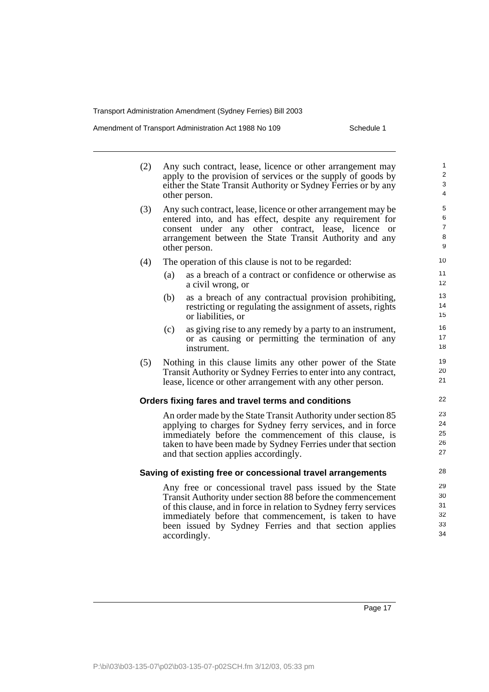Amendment of Transport Administration Act 1988 No 109 Schedule 1

(2) Any such contract, lease, licence or other arrangement may apply to the provision of services or the supply of goods by either the State Transit Authority or Sydney Ferries or by any other person. (3) Any such contract, lease, licence or other arrangement may be entered into, and has effect, despite any requirement for consent under any other contract, lease, licence or arrangement between the State Transit Authority and any other person. (4) The operation of this clause is not to be regarded: (a) as a breach of a contract or confidence or otherwise as a civil wrong, or (b) as a breach of any contractual provision prohibiting, restricting or regulating the assignment of assets, rights or liabilities, or (c) as giving rise to any remedy by a party to an instrument, or as causing or permitting the termination of any instrument. (5) Nothing in this clause limits any other power of the State Transit Authority or Sydney Ferries to enter into any contract, lease, licence or other arrangement with any other person. **Orders fixing fares and travel terms and conditions** An order made by the State Transit Authority under section 85 applying to charges for Sydney ferry services, and in force immediately before the commencement of this clause, is taken to have been made by Sydney Ferries under that section and that section applies accordingly. **Saving of existing free or concessional travel arrangements** Any free or concessional travel pass issued by the State

Transit Authority under section 88 before the commencement of this clause, and in force in relation to Sydney ferry services immediately before that commencement, is taken to have been issued by Sydney Ferries and that section applies accordingly.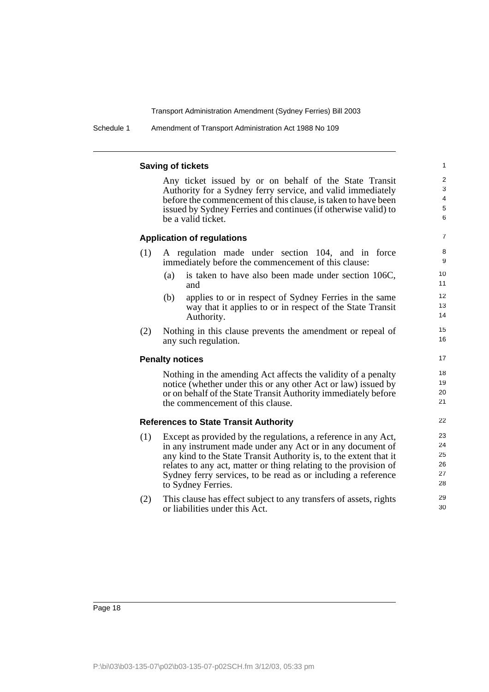Schedule 1 Amendment of Transport Administration Act 1988 No 109

#### **Saving of tickets** Any ticket issued by or on behalf of the State Transit Authority for a Sydney ferry service, and valid immediately before the commencement of this clause, is taken to have been issued by Sydney Ferries and continues (if otherwise valid) to be a valid ticket. **Application of regulations** (1) A regulation made under section 104, and in force immediately before the commencement of this clause: (a) is taken to have also been made under section 106C, and (b) applies to or in respect of Sydney Ferries in the same way that it applies to or in respect of the State Transit Authority. (2) Nothing in this clause prevents the amendment or repeal of any such regulation. **Penalty notices** Nothing in the amending Act affects the validity of a penalty notice (whether under this or any other Act or law) issued by or on behalf of the State Transit Authority immediately before the commencement of this clause. **References to State Transit Authority** (1) Except as provided by the regulations, a reference in any Act, in any instrument made under any Act or in any document of any kind to the State Transit Authority is, to the extent that it relates to any act, matter or thing relating to the provision of Sydney ferry services, to be read as or including a reference to Sydney Ferries. (2) This clause has effect subject to any transfers of assets, rights or liabilities under this Act. 1  $\overline{2}$ 3 4 5 6 7 8 9  $1<sub>0</sub>$ 11 12 13 14 15 16 17 18 19 20 21 22 23 24 25 26 27 28 29 30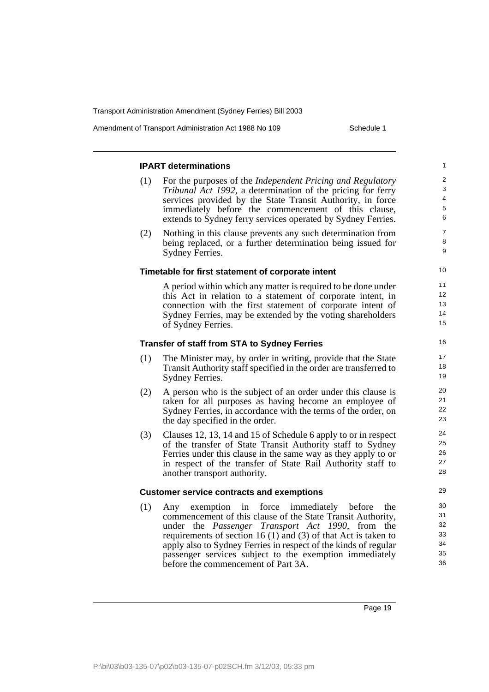Amendment of Transport Administration Act 1988 No 109 Schedule 1

## **IPART determinations**

- (1) For the purposes of the *Independent Pricing and Regulatory Tribunal Act 1992*, a determination of the pricing for ferry services provided by the State Transit Authority, in force immediately before the commencement of this clause, extends to Sydney ferry services operated by Sydney Ferries.
- (2) Nothing in this clause prevents any such determination from being replaced, or a further determination being issued for Sydney Ferries.

## **Timetable for first statement of corporate intent**

A period within which any matter is required to be done under this Act in relation to a statement of corporate intent, in connection with the first statement of corporate intent of Sydney Ferries, may be extended by the voting shareholders of Sydney Ferries.

## **Transfer of staff from STA to Sydney Ferries**

- (1) The Minister may, by order in writing, provide that the State Transit Authority staff specified in the order are transferred to Sydney Ferries.
- (2) A person who is the subject of an order under this clause is taken for all purposes as having become an employee of Sydney Ferries, in accordance with the terms of the order, on the day specified in the order.
- (3) Clauses 12, 13, 14 and 15 of Schedule 6 apply to or in respect of the transfer of State Transit Authority staff to Sydney Ferries under this clause in the same way as they apply to or in respect of the transfer of State Rail Authority staff to another transport authority.

### **Customer service contracts and exemptions**

(1) Any exemption in force immediately before the commencement of this clause of the State Transit Authority, under the *Passenger Transport Act 1990*, from the requirements of section 16 (1) and (3) of that Act is taken to apply also to Sydney Ferries in respect of the kinds of regular passenger services subject to the exemption immediately before the commencement of Part 3A.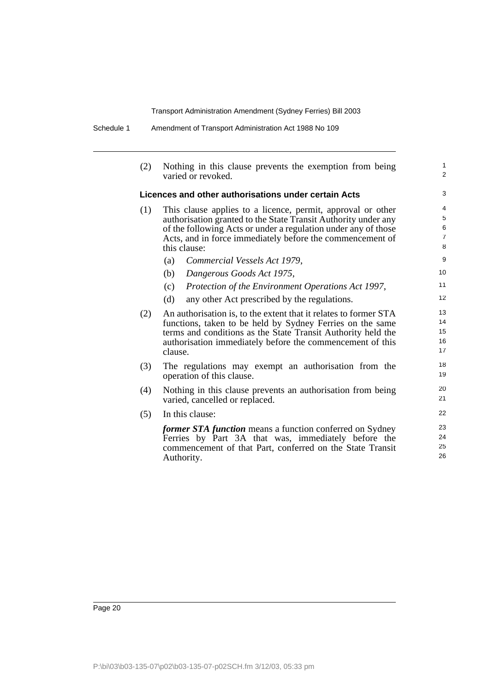|  | Schedule 1 | Amendment of Transport Administration Act 1988 No 109 |  |
|--|------------|-------------------------------------------------------|--|
|--|------------|-------------------------------------------------------|--|

| (2) | Nothing in this clause prevents the exemption from being<br>varied or revoked.                                                                                                                                                                                               | $\mathbf{1}$<br>$\overline{2}$     |
|-----|------------------------------------------------------------------------------------------------------------------------------------------------------------------------------------------------------------------------------------------------------------------------------|------------------------------------|
|     | Licences and other authorisations under certain Acts                                                                                                                                                                                                                         | 3                                  |
| (1) | This clause applies to a licence, permit, approval or other<br>authorisation granted to the State Transit Authority under any<br>of the following Acts or under a regulation under any of those<br>Acts, and in force immediately before the commencement of<br>this clause: | 4<br>5<br>6<br>$\overline{7}$<br>8 |
|     | Commercial Vessels Act 1979,<br>(a)<br>(b)<br>Dangerous Goods Act 1975,                                                                                                                                                                                                      | 9<br>10                            |
|     | Protection of the Environment Operations Act 1997,<br>(c)<br>(d)<br>any other Act prescribed by the regulations.                                                                                                                                                             | 11<br>12                           |
| (2) | An authorisation is, to the extent that it relates to former STA<br>functions, taken to be held by Sydney Ferries on the same<br>terms and conditions as the State Transit Authority held the<br>authorisation immediately before the commencement of this<br>clause.        |                                    |
| (3) | The regulations may exempt an authorisation from the<br>operation of this clause.                                                                                                                                                                                            | 18<br>19                           |
| (4) | Nothing in this clause prevents an authorisation from being<br>varied, cancelled or replaced.                                                                                                                                                                                | 20<br>21                           |
| (5) | In this clause:                                                                                                                                                                                                                                                              | 22                                 |
|     | former STA function means a function conferred on Sydney<br>Ferries by Part 3A that was, immediately before the<br>commencement of that Part, conferred on the State Transit<br>Authority.                                                                                   | 23<br>24<br>25<br>26               |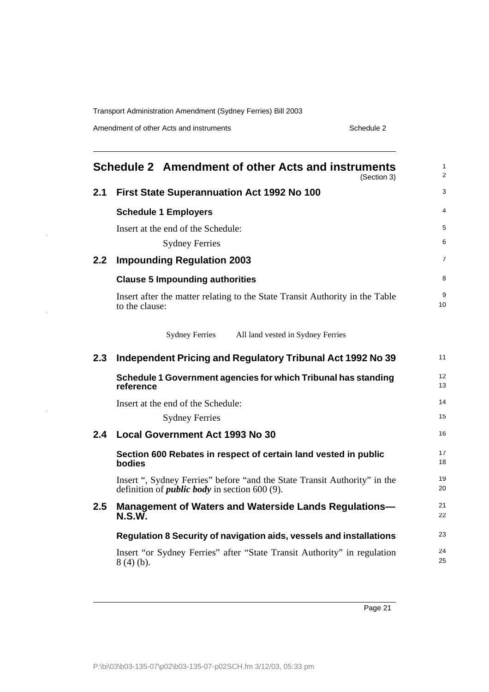Amendment of other Acts and instruments Schedule 2

 $\frac{1}{2}$ 

 $\hat{\mathcal{A}}$ 

|         | Schedule 2 Amendment of other Acts and instruments<br>(Section 3)                                                                    | $\mathbf{1}$<br>2 |
|---------|--------------------------------------------------------------------------------------------------------------------------------------|-------------------|
| 2.1     | First State Superannuation Act 1992 No 100                                                                                           | 3                 |
|         | <b>Schedule 1 Employers</b>                                                                                                          | $\overline{4}$    |
|         | Insert at the end of the Schedule:                                                                                                   | 5                 |
|         | <b>Sydney Ferries</b>                                                                                                                | 6                 |
| 2.2     | <b>Impounding Regulation 2003</b>                                                                                                    | $\overline{7}$    |
|         | <b>Clause 5 Impounding authorities</b>                                                                                               | 8                 |
|         | Insert after the matter relating to the State Transit Authority in the Table<br>to the clause:                                       | 9<br>10           |
|         | <b>Sydney Ferries</b><br>All land vested in Sydney Ferries                                                                           |                   |
| 2.3     | Independent Pricing and Regulatory Tribunal Act 1992 No 39                                                                           | 11                |
|         | Schedule 1 Government agencies for which Tribunal has standing<br>reference                                                          | 12<br>13          |
|         | Insert at the end of the Schedule:                                                                                                   | 14                |
|         | <b>Sydney Ferries</b>                                                                                                                | 15                |
| 2.4     | <b>Local Government Act 1993 No 30</b>                                                                                               | 16                |
|         | Section 600 Rebates in respect of certain land vested in public<br>bodies                                                            | 17<br>18          |
|         | Insert ", Sydney Ferries" before "and the State Transit Authority" in the<br>definition of <i>public body</i> in section 600 $(9)$ . | 19<br>20          |
| $2.5\,$ | <b>Management of Waters and Waterside Lands Regulations—</b><br>N.S.W.                                                               | 21<br>22          |
|         | Regulation 8 Security of navigation aids, vessels and installations                                                                  | 23                |
|         | Insert "or Sydney Ferries" after "State Transit Authority" in regulation<br>$8(4)(b)$ .                                              | 24<br>25          |